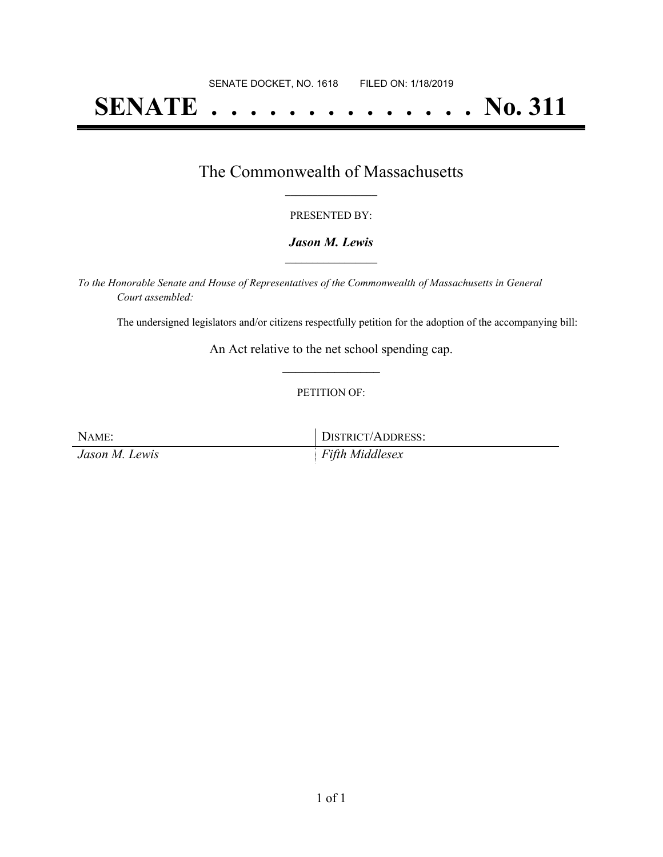# **SENATE . . . . . . . . . . . . . . No. 311**

### The Commonwealth of Massachusetts **\_\_\_\_\_\_\_\_\_\_\_\_\_\_\_\_\_**

#### PRESENTED BY:

#### *Jason M. Lewis* **\_\_\_\_\_\_\_\_\_\_\_\_\_\_\_\_\_**

*To the Honorable Senate and House of Representatives of the Commonwealth of Massachusetts in General Court assembled:*

The undersigned legislators and/or citizens respectfully petition for the adoption of the accompanying bill:

An Act relative to the net school spending cap. **\_\_\_\_\_\_\_\_\_\_\_\_\_\_\_**

#### PETITION OF:

| NAME:          | DISTRICT/ADDRESS: |
|----------------|-------------------|
| Jason M. Lewis | Fifth Middlesex   |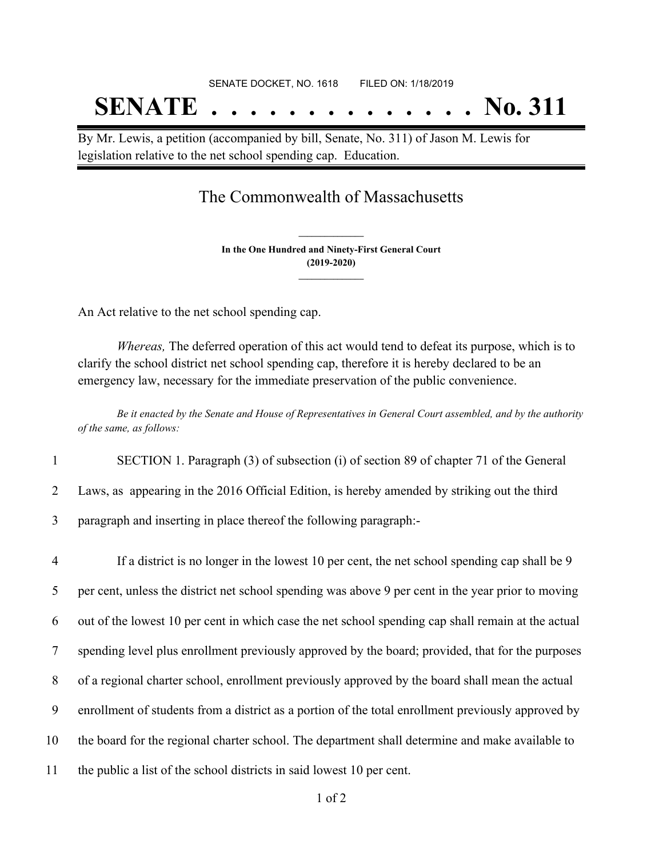# SENATE DOCKET, NO. 1618 FILED ON: 1/18/2019 **SENATE . . . . . . . . . . . . . . No. 311**

By Mr. Lewis, a petition (accompanied by bill, Senate, No. 311) of Jason M. Lewis for legislation relative to the net school spending cap. Education.

## The Commonwealth of Massachusetts

**In the One Hundred and Ninety-First General Court (2019-2020) \_\_\_\_\_\_\_\_\_\_\_\_\_\_\_**

**\_\_\_\_\_\_\_\_\_\_\_\_\_\_\_**

An Act relative to the net school spending cap.

*Whereas,* The deferred operation of this act would tend to defeat its purpose, which is to clarify the school district net school spending cap, therefore it is hereby declared to be an emergency law, necessary for the immediate preservation of the public convenience.

Be it enacted by the Senate and House of Representatives in General Court assembled, and by the authority *of the same, as follows:*

1 SECTION 1. Paragraph (3) of subsection (i) of section 89 of chapter 71 of the General

2 Laws, as appearing in the 2016 Official Edition, is hereby amended by striking out the third

3 paragraph and inserting in place thereof the following paragraph:-

 If a district is no longer in the lowest 10 per cent, the net school spending cap shall be 9 per cent, unless the district net school spending was above 9 per cent in the year prior to moving out of the lowest 10 per cent in which case the net school spending cap shall remain at the actual spending level plus enrollment previously approved by the board; provided, that for the purposes of a regional charter school, enrollment previously approved by the board shall mean the actual enrollment of students from a district as a portion of the total enrollment previously approved by the board for the regional charter school. The department shall determine and make available to the public a list of the school districts in said lowest 10 per cent.